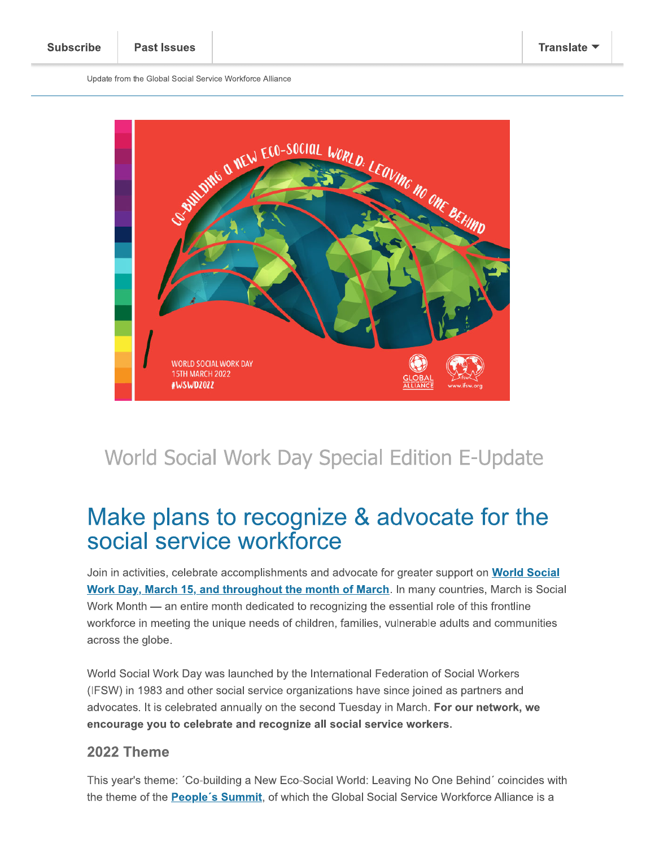Update from the Global Social Service Workforce Alliance



# World Social Work Day Special Edition E-Update

# Make plans to recognize & advocate for the social service workforce

Join in activities, celebrate accomplishments and advocate for greater support on **World Social** Work Day, March 15, and throughout the month of March. In many countries, March is Social Work Month — an entire month dedicated to recognizing the essential role of this frontline workforce in meeting the unique needs of children, families, vulnerable adults and communities across the globe.

World Social Work Day was launched by the International Federation of Social Workers (IFSW) in 1983 and other social service organizations have since joined as partners and advocates. It is celebrated annually on the second Tuesday in March. For our network, we encourage you to celebrate and recognize all social service workers.

#### 2022 Theme

This year's theme: 'Co-building a New Eco-Social World: Leaving No One Behind' coincides with the theme of the People's Summit, of which the Global Social Service Workforce Alliance is a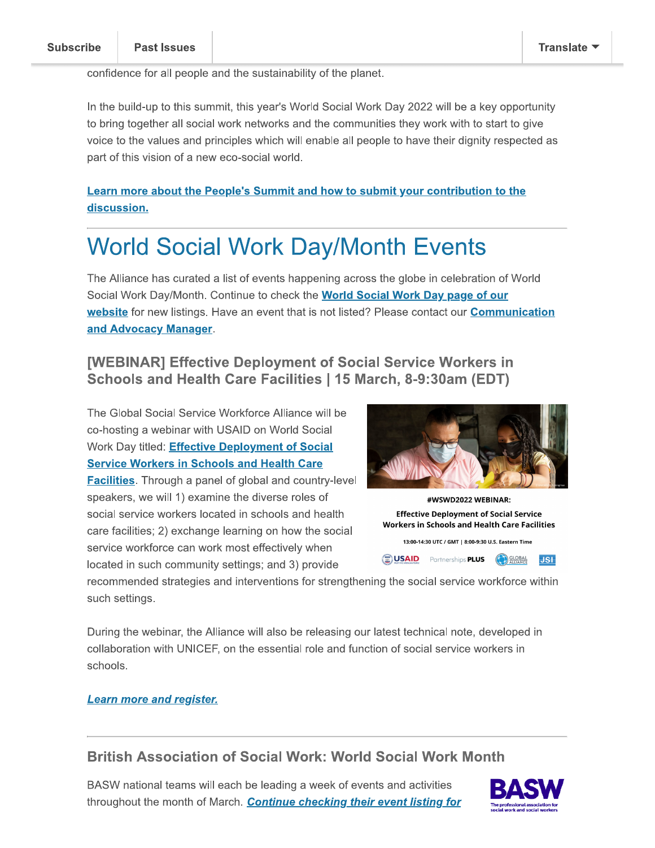confidence for all people and the sustainability of the planet.

In the build-up to this summit, this year's World Social Work Day 2022 will be a key opportunity to bring together all social work networks and the communities they work with to start to give voice to the values and principles which will enable all people to have their dignity respected as part of this vision of a new eco-social world.

**Learn more about the People's Summit and how to submit your contribution to the** discussion.

# **World Social Work Day/Month Events**

The Alliance has curated a list of events happening across the globe in celebration of World Social Work Day/Month. Continue to check the **World Social Work Day page of our** website for new listings. Have an event that is not listed? Please contact our **Communication** and Advocacy Manager.

#### **[WEBINAR] Effective Deployment of Social Service Workers in** Schools and Health Care Facilities | 15 March, 8-9:30am (EDT)

The Global Social Service Workforce Alliance will be co-hosting a webinar with USAID on World Social Work Day titled: **Effective Deployment of Social Service Workers in Schools and Health Care** 

**Facilities.** Through a panel of global and country-level speakers, we will 1) examine the diverse roles of social service workers located in schools and health care facilities; 2) exchange learning on how the social service workforce can work most effectively when located in such community settings; and 3) provide





**USAID** Partnerships **PLUS COBAL** 

recommended strategies and interventions for strengthening the social service workforce within such settings.

During the webinar, the Alliance will also be releasing our latest technical note, developed in collaboration with UNICEF, on the essential role and function of social service workers in schools.

#### **Learn more and register.**

#### **British Association of Social Work: World Social Work Month**

BASW national teams will each be leading a week of events and activities throughout the month of March. Continue checking their event listing for



**JSI**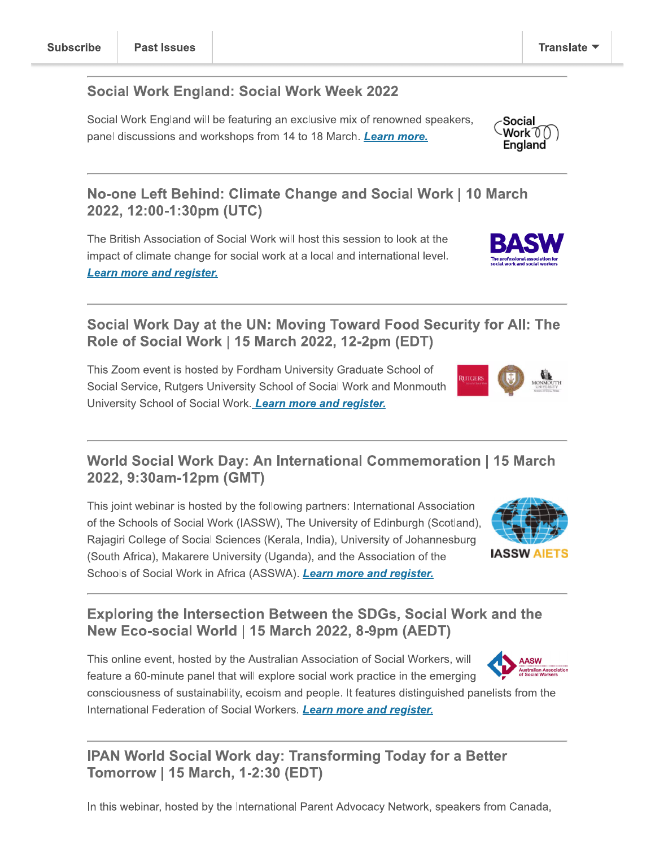#### **Social Work England: Social Work Week 2022**

Social Work England will be featuring an exclusive mix of renowned speakers, panel discussions and workshops from 14 to 18 March. Learn more.

#### No-one Left Behind: Climate Change and Social Work | 10 March 2022, 12:00-1:30pm (UTC)

The British Association of Social Work will host this session to look at the impact of climate change for social work at a local and international level. **Learn more and register.** 

### Social Work Day at the UN: Moving Toward Food Security for All: The Role of Social Work | 15 March 2022, 12-2pm (EDT)

This Zoom event is hosted by Fordham University Graduate School of Social Service, Rutgers University School of Social Work and Monmouth University School of Social Work. Learn more and register.

### World Social Work Day: An International Commemoration | 15 March 2022, 9:30am-12pm (GMT)

This joint webinar is hosted by the following partners: International Association of the Schools of Social Work (IASSW), The University of Edinburgh (Scotland), Rajagiri College of Social Sciences (Kerala, India), University of Johannesburg (South Africa), Makarere University (Uganda), and the Association of the Schools of Social Work in Africa (ASSWA). Learn more and register.

## **Exploring the Intersection Between the SDGs, Social Work and the** New Eco-social World | 15 March 2022, 8-9pm (AEDT)

This online event, hosted by the Australian Association of Social Workers, will **AASW** feature a 60-minute panel that will explore social work practice in the emerging consciousness of sustainability, ecoism and people. It features distinguished panelists from the International Federation of Social Workers. Learn more and register.

# **IPAN World Social Work day: Transforming Today for a Better** Tomorrow | 15 March, 1-2:30 (EDT)

In this webinar, hosted by the International Parent Advocacy Network, speakers from Canada,







Social Work TO ∩

England

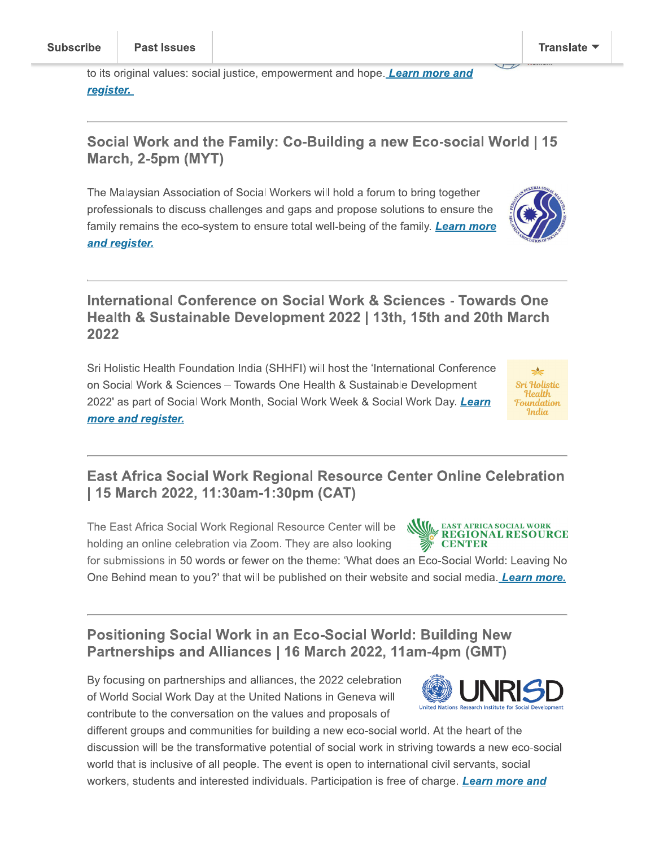to its original values: social justice, empowerment and hope. Learn more and <u>register.</u>

#### Social Work and the Family: Co-Building a new Eco-social World | 15 March, 2-5pm (MYT)

The Malaysian Association of Social Workers will hold a forum to bring together professionals to discuss challenges and gaps and propose solutions to ensure the family remains the eco-system to ensure total well-being of the family. Learn more and register.

#### International Conference on Social Work & Sciences - Towards One Health & Sustainable Development 2022 | 13th, 15th and 20th March 2022

Sri Holistic Health Foundation India (SHHFI) will host the 'International Conference on Social Work & Sciences - Towards One Health & Sustainable Development 2022' as part of Social Work Month, Social Work Week & Social Work Day. Learn more and register.

### **East Africa Social Work Regional Resource Center Online Celebration** | 15 March 2022, 11:30am-1:30pm (CAT)

The East Africa Social Work Regional Resource Center will be holding an online celebration via Zoom. They are also looking

for submissions in 50 words or fewer on the theme: 'What does an Eco-Social World: Leaving No One Behind mean to you?' that will be published on their website and social media. Learn more.

### **Positioning Social Work in an Eco-Social World: Building New** Partnerships and Alliances | 16 March 2022, 11am-4pm (GMT)

By focusing on partnerships and alliances, the 2022 celebration of World Social Work Day at the United Nations in Geneva will contribute to the conversation on the values and proposals of

different groups and communities for building a new eco-social world. At the heart of the discussion will be the transformative potential of social work in striving towards a new eco-social world that is inclusive of all people. The event is open to international civil servants, social workers, students and interested individuals. Participation is free of charge. Learn more and

**Sri Holistic** Health.

Foundation India

**LRESOURCE** 





**NVIII.** EAST AFRICA SOCIAL WORK

**CENTER**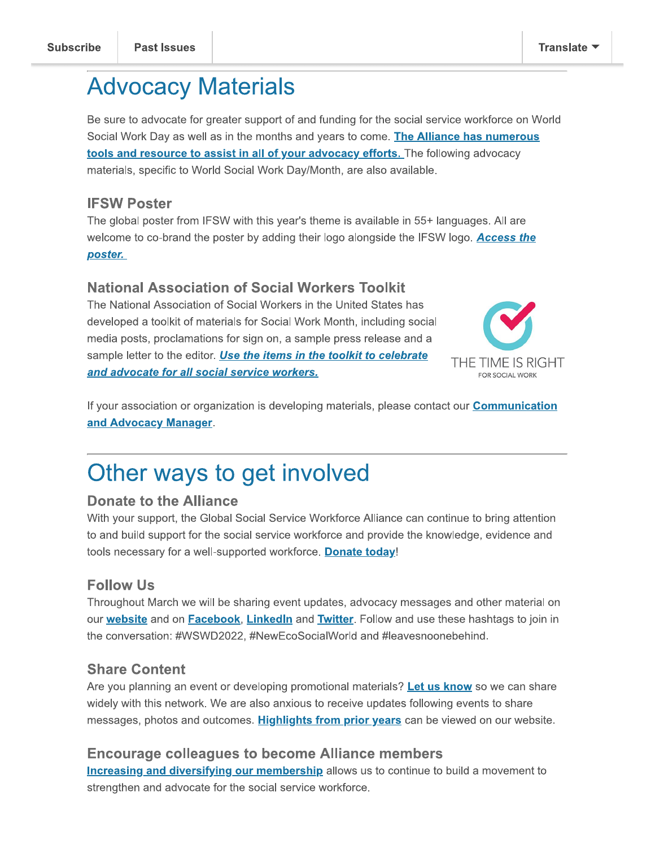# **Advocacy Materials**

Be sure to advocate for greater support of and funding for the social service workforce on World Social Work Day as well as in the months and years to come. The Alliance has numerous tools and resource to assist in all of your advocacy efforts. The following advocacy materials, specific to World Social Work Day/Month, are also available.

#### **IFSW Poster**

The global poster from IFSW with this year's theme is available in 55+ languages. All are welcome to co-brand the poster by adding their logo alongside the IFSW logo. Access the poster.

#### **National Association of Social Workers Toolkit**

The National Association of Social Workers in the United States has developed a toolkit of materials for Social Work Month, including social media posts, proclamations for sign on, a sample press release and a sample letter to the editor. Use the items in the toolkit to celebrate and advocate for all social service workers.



If your association or organization is developing materials, please contact our **Communication** and Advocacy Manager.

# Other ways to get involved

#### **Donate to the Alliance**

With your support, the Global Social Service Workforce Alliance can continue to bring attention to and build support for the social service workforce and provide the knowledge, evidence and tools necessary for a well-supported workforce. Donate today!

#### **Follow Us**

Throughout March we will be sharing event updates, advocacy messages and other material on our website and on Facebook, Linkedln and Twitter. Follow and use these hashtags to join in the conversation: #WSWD2022, #NewEcoSocialWorld and #leavesnoonebehind.

#### **Share Content**

Are you planning an event or developing promotional materials? Let us know so we can share widely with this network. We are also anxious to receive updates following events to share messages, photos and outcomes. Highlights from prior years can be viewed on our website.

#### **Encourage colleagues to become Alliance members**

**Increasing and diversifying our membership allows us to continue to build a movement to** strengthen and advocate for the social service workforce.